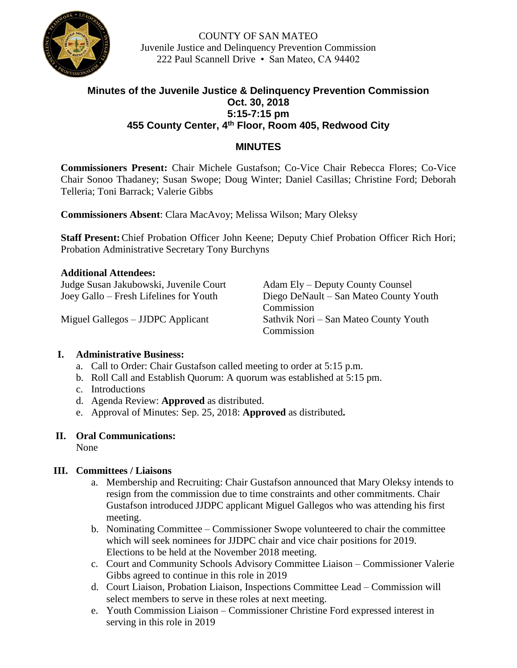

COUNTY OF SAN MATEO Juvenile Justice and Delinquency Prevention Commission 222 Paul Scannell Drive • San Mateo, CA 94402

# **Minutes of the Juvenile Justice & Delinquency Prevention Commission Oct. 30, 2018 5:15-7:15 pm 455 County Center, 4th Floor, Room 405, Redwood City**

## **MINUTES**

**Commissioners Present:** Chair Michele Gustafson; Co-Vice Chair Rebecca Flores; Co-Vice Chair Sonoo Thadaney; Susan Swope; Doug Winter; Daniel Casillas; Christine Ford; Deborah Telleria; Toni Barrack; Valerie Gibbs

**Commissioners Absent**: Clara MacAvoy; Melissa Wilson; Mary Oleksy

**Staff Present:**Chief Probation Officer John Keene; Deputy Chief Probation Officer Rich Hori; Probation Administrative Secretary Tony Burchyns

## **Additional Attendees:** Judge Susan Jakubowski, Juvenile Court Adam Ely – Deputy County Counsel Joey Gallo – Fresh Lifelines for Youth Diego DeNault – San Mateo County Youth Commission Miguel Gallegos – JJDPC Applicant Sathvik Nori – San Mateo County Youth Commission

### **I. Administrative Business:**

- a. Call to Order: Chair Gustafson called meeting to order at 5:15 p.m.
- b. Roll Call and Establish Quorum: A quorum was established at 5:15 pm.
- c. Introductions
- d. Agenda Review: **Approved** as distributed.
- e. Approval of Minutes: Sep. 25, 2018: **Approved** as distributed**.**

### **II. Oral Communications:**

None

### **III. Committees / Liaisons**

- a. Membership and Recruiting: Chair Gustafson announced that Mary Oleksy intends to resign from the commission due to time constraints and other commitments. Chair Gustafson introduced JJDPC applicant Miguel Gallegos who was attending his first meeting.
- b. Nominating Committee Commissioner Swope volunteered to chair the committee which will seek nominees for JJDPC chair and vice chair positions for 2019. Elections to be held at the November 2018 meeting.
- c. Court and Community Schools Advisory Committee Liaison Commissioner Valerie Gibbs agreed to continue in this role in 2019
- d. Court Liaison, Probation Liaison, Inspections Committee Lead Commission will select members to serve in these roles at next meeting.
- e. Youth Commission Liaison Commissioner Christine Ford expressed interest in serving in this role in 2019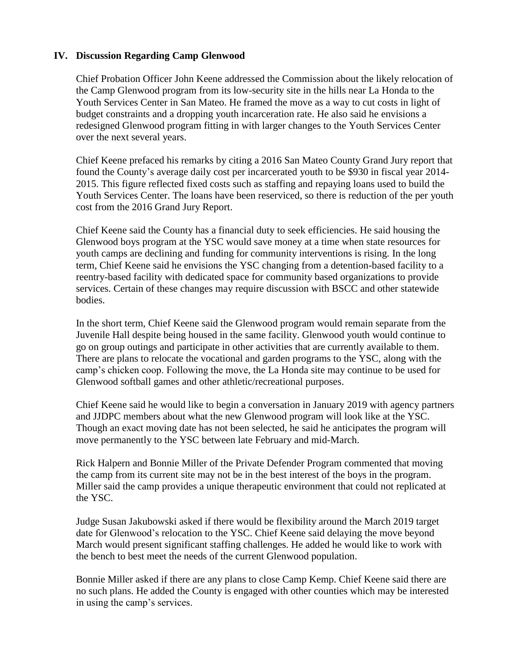#### **IV. Discussion Regarding Camp Glenwood**

Chief Probation Officer John Keene addressed the Commission about the likely relocation of the Camp Glenwood program from its low-security site in the hills near La Honda to the Youth Services Center in San Mateo. He framed the move as a way to cut costs in light of budget constraints and a dropping youth incarceration rate. He also said he envisions a redesigned Glenwood program fitting in with larger changes to the Youth Services Center over the next several years.

Chief Keene prefaced his remarks by citing a 2016 San Mateo County Grand Jury report that found the County's average daily cost per incarcerated youth to be \$930 in fiscal year 2014- 2015. This figure reflected fixed costs such as staffing and repaying loans used to build the Youth Services Center. The loans have been reserviced, so there is reduction of the per youth cost from the 2016 Grand Jury Report.

Chief Keene said the County has a financial duty to seek efficiencies. He said housing the Glenwood boys program at the YSC would save money at a time when state resources for youth camps are declining and funding for community interventions is rising. In the long term, Chief Keene said he envisions the YSC changing from a detention-based facility to a reentry-based facility with dedicated space for community based organizations to provide services. Certain of these changes may require discussion with BSCC and other statewide bodies.

In the short term, Chief Keene said the Glenwood program would remain separate from the Juvenile Hall despite being housed in the same facility. Glenwood youth would continue to go on group outings and participate in other activities that are currently available to them. There are plans to relocate the vocational and garden programs to the YSC, along with the camp's chicken coop. Following the move, the La Honda site may continue to be used for Glenwood softball games and other athletic/recreational purposes.

Chief Keene said he would like to begin a conversation in January 2019 with agency partners and JJDPC members about what the new Glenwood program will look like at the YSC. Though an exact moving date has not been selected, he said he anticipates the program will move permanently to the YSC between late February and mid-March.

Rick Halpern and Bonnie Miller of the Private Defender Program commented that moving the camp from its current site may not be in the best interest of the boys in the program. Miller said the camp provides a unique therapeutic environment that could not replicated at the YSC.

Judge Susan Jakubowski asked if there would be flexibility around the March 2019 target date for Glenwood's relocation to the YSC. Chief Keene said delaying the move beyond March would present significant staffing challenges. He added he would like to work with the bench to best meet the needs of the current Glenwood population.

Bonnie Miller asked if there are any plans to close Camp Kemp. Chief Keene said there are no such plans. He added the County is engaged with other counties which may be interested in using the camp's services.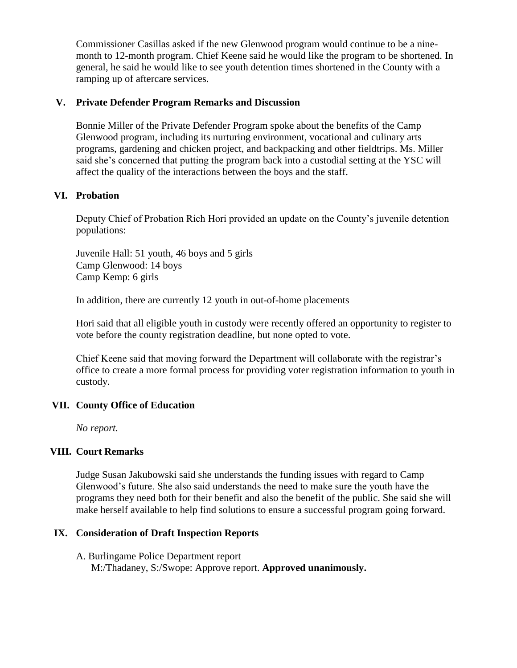Commissioner Casillas asked if the new Glenwood program would continue to be a ninemonth to 12-month program. Chief Keene said he would like the program to be shortened. In general, he said he would like to see youth detention times shortened in the County with a ramping up of aftercare services.

### **V. Private Defender Program Remarks and Discussion**

Bonnie Miller of the Private Defender Program spoke about the benefits of the Camp Glenwood program, including its nurturing environment, vocational and culinary arts programs, gardening and chicken project, and backpacking and other fieldtrips. Ms. Miller said she's concerned that putting the program back into a custodial setting at the YSC will affect the quality of the interactions between the boys and the staff.

## **VI. Probation**

Deputy Chief of Probation Rich Hori provided an update on the County's juvenile detention populations:

Juvenile Hall: 51 youth, 46 boys and 5 girls Camp Glenwood: 14 boys Camp Kemp: 6 girls

In addition, there are currently 12 youth in out-of-home placements

Hori said that all eligible youth in custody were recently offered an opportunity to register to vote before the county registration deadline, but none opted to vote.

Chief Keene said that moving forward the Department will collaborate with the registrar's office to create a more formal process for providing voter registration information to youth in custody.

# **VII. County Office of Education**

*No report.*

# **VIII. Court Remarks**

Judge Susan Jakubowski said she understands the funding issues with regard to Camp Glenwood's future. She also said understands the need to make sure the youth have the programs they need both for their benefit and also the benefit of the public. She said she will make herself available to help find solutions to ensure a successful program going forward.

# **IX. Consideration of Draft Inspection Reports**

## A. Burlingame Police Department report M:/Thadaney, S:/Swope: Approve report. **Approved unanimously.**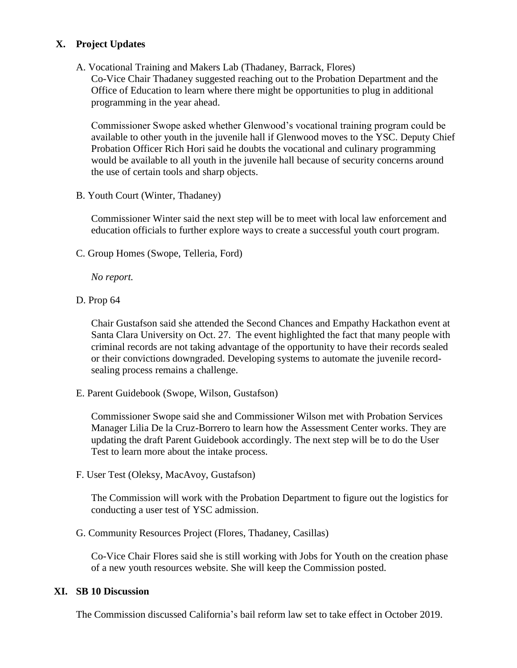## **X. Project Updates**

A. Vocational Training and Makers Lab (Thadaney, Barrack, Flores)

Co-Vice Chair Thadaney suggested reaching out to the Probation Department and the Office of Education to learn where there might be opportunities to plug in additional programming in the year ahead.

Commissioner Swope asked whether Glenwood's vocational training program could be available to other youth in the juvenile hall if Glenwood moves to the YSC. Deputy Chief Probation Officer Rich Hori said he doubts the vocational and culinary programming would be available to all youth in the juvenile hall because of security concerns around the use of certain tools and sharp objects.

B. Youth Court (Winter, Thadaney)

Commissioner Winter said the next step will be to meet with local law enforcement and education officials to further explore ways to create a successful youth court program.

C. Group Homes (Swope, Telleria, Ford)

*No report.*

D. Prop 64

Chair Gustafson said she attended the Second Chances and Empathy Hackathon event at Santa Clara University on Oct. 27. The event highlighted the fact that many people with criminal records are not taking advantage of the opportunity to have their records sealed or their convictions downgraded. Developing systems to automate the juvenile recordsealing process remains a challenge.

E. Parent Guidebook (Swope, Wilson, Gustafson)

Commissioner Swope said she and Commissioner Wilson met with Probation Services Manager Lilia De la Cruz-Borrero to learn how the Assessment Center works. They are updating the draft Parent Guidebook accordingly. The next step will be to do the User Test to learn more about the intake process.

F. User Test (Oleksy, MacAvoy, Gustafson)

The Commission will work with the Probation Department to figure out the logistics for conducting a user test of YSC admission.

G. Community Resources Project (Flores, Thadaney, Casillas)

Co-Vice Chair Flores said she is still working with Jobs for Youth on the creation phase of a new youth resources website. She will keep the Commission posted.

#### **XI. SB 10 Discussion**

The Commission discussed California's bail reform law set to take effect in October 2019.